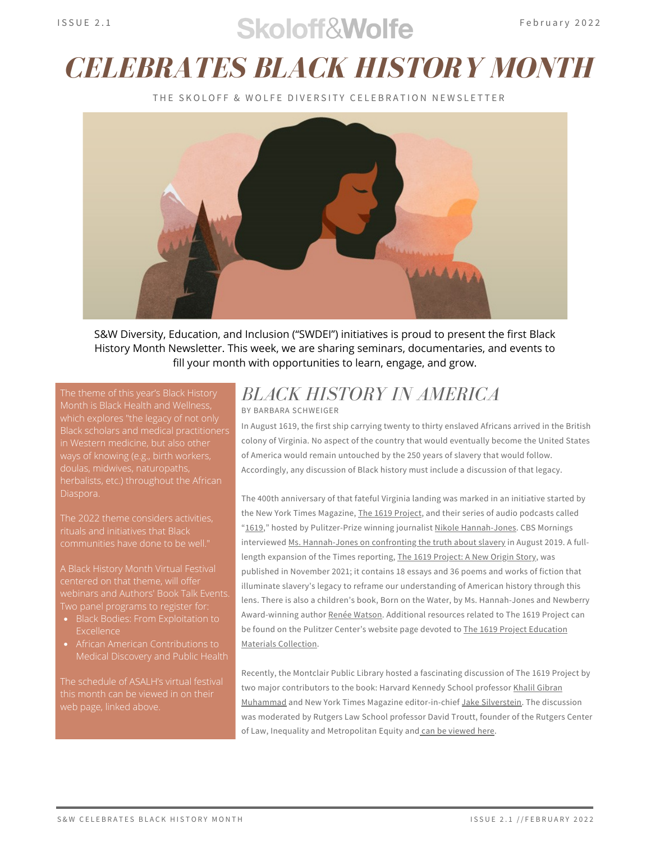## $S$ koloff $\mathcal{R}$ Wolfe February 2022

## *CELEBRATES BLACK HISTORY MONTH*

THE SKOLOFE & WOLFE DIVERSITY CELEBRATION NEWSLETTER



S&W Diversity, Education, and Inclusion ("SWDEI") initiatives is proud to present the first Black History Month Newsletter. This week, we are sharing seminars, documentaries, and events to fill your month with opportunities to learn, engage, and grow.

which explores "the legacy of not only Black scholars and medical practitioners in Western medicine, but also other doulas, midwives, naturopaths, Diaspora.

The 2022 theme considers activities, rituals and initiatives that Black communities have done to be well."

A [Black History Month Virtual Festival](https://asalh.org/festival/) centered on that theme, will offer webinars and [Authors' Book Talk Events](https://asalh.org/festival/authors-book-talk-events-schedule/).

- Excellence
- Medical Discovery and Public Health

The schedule of ASALH's virtual festival this month can be viewed in on their

## *BLACK HISTORY IN AMERICA* BY BARBARA SCHWEIGER

In August 1619, the first ship carrying twenty to thirty enslaved Africans arrived in the British colony of Virginia. No aspect of the country that would eventually become the United States of America would remain untouched by the 250 years of slavery that would follow. Accordingly, any discussion of Black history must include a discussion of that legacy.

The 400th anniversary of that fateful Virginia landing was marked in an initiative started by the New York Times Magazine, The 1619 [Project,](https://www.nytimes.com/interactive/2019/08/14/magazine/1619-america-slavery.html) and their series of audio podcasts called "[1619,"](https://www.nytimes.com/2019/08/23/podcasts/the-daily/1619-project.html) hosted by Pulitzer-Prize winning journalist Nikole [Hannah-Jones.](https://nikolehannahjones.com/) CBS Mornings interviewed Ms. [Hannah-Jones](https://www.youtube.com/watch?v=7xzNyrFhzew) on confronting the truth about slavery in August 2019. A full-length expansion of the Times reporting, The 1619 [Project:](https://1619books.com/) A New Origin Story, was published in November 2021; it contains 18 essays and 36 poems and works of fiction that illuminate slavery's legacy to reframe our understanding of American history through this lens. There is also a children's book, Born on the [Water,](https://bookshop.org/books/the-1619-project-born-on-the-water/9780593307359) by Ms. Hannah-Jones and Newberry Award-winning author Renée [Watson.](https://www.reneewatson.net/) Additional resources related to The 1619 Project can be found on the Pulitzer Center's website page devoted to The 1619 Project Education Materials [Collection.](https://1619education.org/)

Recently, the Montclair Public Library hosted a fascinating discussion of The 1619 Project by two major contributors to the book: Harvard Kennedy School professor Khalil Gibran Muhamma[d](https://www.hks.harvard.edu/faculty/khalil-muhammad) and New York Times Magazine [editor-in-chief](https://www.hks.harvard.edu/faculty/khalil-muhammad) Jake [Silverstein.](https://muckrack.com/jakesilverstein) The discussion was moderated by Rutgers Law School professor David [Troutt](https://law.rutgers.edu/directory/view/dtroutt), founder of the Rutgers Center of Law, Inequality and Metropolitan Equity and can be [viewed](https://www.youtube.com/watch?v=sXa9OAU70_0) here.